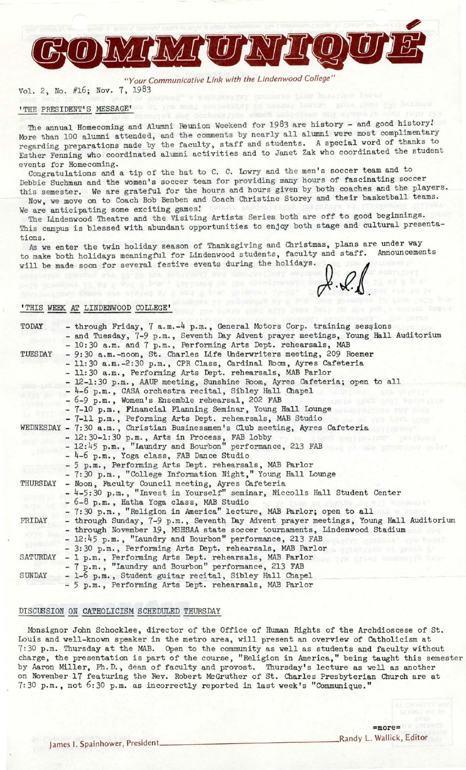*"Your Communicative Link with the Lindenwood College"* 

Vol. 2, No. #16; Nov. 7, 1983

# 'THE PRESIDENT'S MESSAGE'

The annual Homecoming and Alumni Reunion Weekend for 1983 are history - and good history! More than 100 alumni attended, and the comments by nearly all alumni were most complimentary regarding preparations made by the faculty, staff and students. A special word of thanks to Esther Fenning who coordinated alumni activities and to Janet Zak who coordinated the student

events for Homecoming.<br>Congratulations and a tip of the hat to C. C. Lowry and the men's soccer team and to Debbie Suchman and the women's soccer team for providing many hours of fascinating soccer this semester. We are grateful for the hours and hours given by both coaches and the players.

Now, we move on to Coach Bob Benben and Coach Christine Storey and their basketball teams. We are anticipating some exciting games!

The Lindenwood Theatre and the Visiting Artists Series both are off to good beginnings. This campus is blessed with abundant opportunities to enjoy both stage and cultural presentations.

As we enter the twin holiday season of Thanksgiving and Christmas, plans are under way to make both holidays meaningful for Lindenwood students, faculty and staff. Announcements will be made soon for several festive events during the holidays. /

 $\mathbb{V}\cdot\mathbb{R}\cdot\mathbb{Q}$ .

#### 'THIS WEEK AT LINDENWOOD COLLEGE

| TODAY           | - through Friday, 7 a.m.-4 p.m., General Motors Corp. training sessions                 |
|-----------------|-----------------------------------------------------------------------------------------|
|                 | - and Tuesday, 7-9 p.m., Seventh Day Advent prayer meetings, Young Hall Auditorium      |
|                 | - 10:30 a.m. and 7 p.m., Performing Arts Dept. rehearsals, MAB                          |
| <b>TUESDAY</b>  | - 9:30 a.m.-noon, St. Charles Life Underwriters meeting, 209 Roemer                     |
|                 | - 11:30 a.m.-2:30 p.m., CPR Class, Cardinal Room, Ayres Cafeteria                       |
|                 | - 11:30 a.m., Performing Arts Dept. rehearsals, MAB Parlor                              |
|                 | - 12-1:30 p.m., AAUP meeting, Sunshine Room, Ayres Cafeteria; open to all               |
|                 | - 4-6 p.m., CASA orchestra recital, Sibley Hall Chapel<br>writer for soral              |
|                 | - 6-9 p.m., Women's Ensemble rehearsal, 202 FAB<br>that test sancratus                  |
|                 | - 7-10 p.m., Financial Planning Seminar, Young Hall Lounge                              |
|                 | - 7-11 p.m., Peforming Arts Dept. rehearsals, MAB Studio<br>ow as commons come          |
|                 | WEDNESDAY - 7:30 a.m., Christian Businessmen's Club meeting, Ayres Cafeteria            |
|                 | - 12:30-1:30 p.m., Arts in Process, FAB lobby<br>what i eo Lyon"<br>PERTSUGA            |
|                 | - 12:45 p.m., "Laundry and Bourbon" performance, 213 FAB<br><b>SALE EXHORE ON AGAIN</b> |
|                 | - 4-6 p.m., Yoga class, FAB Dance Studio                                                |
|                 | - 5 p.m., Performing Arts Dept. rehearsals, MAB Parlor                                  |
|                 | - 7:30 p.m., "College Information Night," Young Hall Lounge                             |
| <b>THURSDAY</b> | - Noon, Faculty Council meeting, Ayres Cafeteria                                        |
|                 | - 4-5:30 p.m., "Invest in Yourself" seminar, Niccolls Hall Student Center               |
|                 | - 6-8 p.m., Hatha Yoga class, MAB Studio                                                |
|                 | - 7:30 p.m., "Religion in America" lecture, MAB Parlor; open to all                     |
| FRIDAY          | - through Sunday, 7-9 p.m., Seventh Day Advent prayer meetings, Young Hall Auditorium   |
|                 | - through November 19, MSHSAA state soccer tournaments, Lindenwood Stadium              |
|                 | - 12:45 p.m., "Laundry and Bourbon" performance, 213 FAB<br>prodeze - rie tront         |
|                 | - 3:30 p.m., Performing Arts Dept. rehearsals, MAB Parlor                               |
| SATURDAY        | - 1 p.m., Performing Arts Dept. rehearsals, MAB Parlor<br>ON LILES COMMUNISM DEL-       |
|                 | - 7 p.m., "Laundry and Bourbon" performance, 213 FAB                                    |
| SUNDAY          | - 1-6 p.m., Student guitar recital, Sibley Hall Chapel                                  |
|                 | - 5 p.m., Performing Arts Dept. rehearsals, MAB Parlor                                  |

#### DISCUSSION ON CATHOLICISM SCHEDULED THURSDAY

Monsignor John Schocklee, director of the Office of Human Rights of the Archdioscese of St. Louis and well-known speaker in the metro area, will present an overview of Catholicism at 7:30 p.m. Thursday at the MAB. Open to the community as well as students and faculty without cha rge, the presentation is part of the course, "Religion in America," being taught this semester by Aaron Miller, Ph.D., dean of faculty and provost. Thursday's lecture as well as another on November 17 featuring the Rev. Robert McGruther of St. Charles Presbyterian Church are at 7:30 p.m., not 6:30 p.m. as incorrectly reported in last week's "Communique."